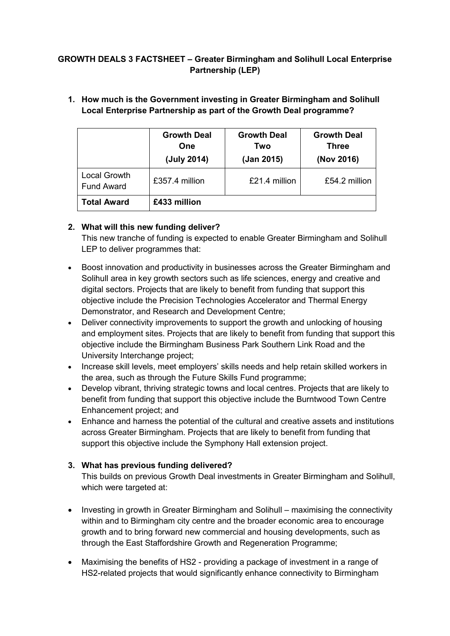# **GROWTH DEALS 3 FACTSHEET – Greater Birmingham and Solihull Local Enterprise Partnership (LEP)**

|                                   | <b>Growth Deal</b><br>One<br>(July 2014) | <b>Growth Deal</b><br>Two<br>(Jan 2015) | <b>Growth Deal</b><br><b>Three</b><br>(Nov 2016) |
|-----------------------------------|------------------------------------------|-----------------------------------------|--------------------------------------------------|
| Local Growth<br><b>Fund Award</b> | £357.4 million                           | $£21.4$ million                         | $£54.2$ million                                  |
| <b>Total Award</b>                | £433 million                             |                                         |                                                  |

## **1. How much is the Government investing in Greater Birmingham and Solihull Local Enterprise Partnership as part of the Growth Deal programme?**

# **2. What will this new funding deliver?**

This new tranche of funding is expected to enable Greater Birmingham and Solihull LEP to deliver programmes that:

- Boost innovation and productivity in businesses across the Greater Birmingham and Solihull area in key growth sectors such as life sciences, energy and creative and digital sectors. Projects that are likely to benefit from funding that support this objective include the Precision Technologies Accelerator and Thermal Energy Demonstrator, and Research and Development Centre;
- Deliver connectivity improvements to support the growth and unlocking of housing and employment sites. Projects that are likely to benefit from funding that support this objective include the Birmingham Business Park Southern Link Road and the University Interchange project;
- Increase skill levels, meet employers' skills needs and help retain skilled workers in the area, such as through the Future Skills Fund programme;
- Develop vibrant, thriving strategic towns and local centres. Projects that are likely to benefit from funding that support this objective include the Burntwood Town Centre Enhancement project; and
- Enhance and harness the potential of the cultural and creative assets and institutions across Greater Birmingham. Projects that are likely to benefit from funding that support this objective include the Symphony Hall extension project.

## **3. What has previous funding delivered?**

This builds on previous Growth Deal investments in Greater Birmingham and Solihull, which were targeted at:

- Investing in growth in Greater Birmingham and Solihull maximising the connectivity within and to Birmingham city centre and the broader economic area to encourage growth and to bring forward new commercial and housing developments, such as through the East Staffordshire Growth and Regeneration Programme;
- Maximising the benefits of HS2 providing a package of investment in a range of HS2-related projects that would significantly enhance connectivity to Birmingham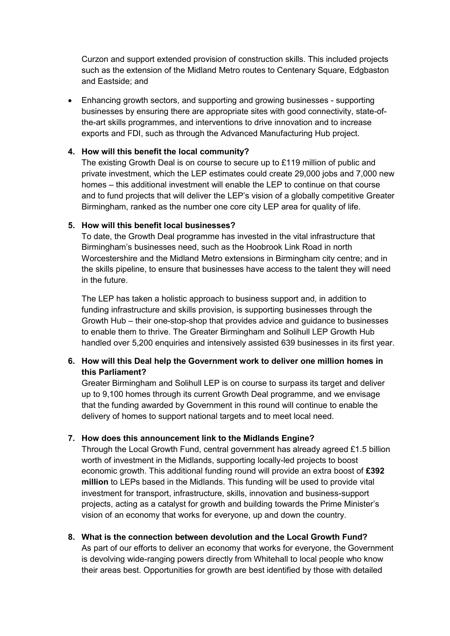Curzon and support extended provision of construction skills. This included projects such as the extension of the Midland Metro routes to Centenary Square, Edgbaston and Eastside; and

 Enhancing growth sectors, and supporting and growing businesses - supporting businesses by ensuring there are appropriate sites with good connectivity, state-ofthe-art skills programmes, and interventions to drive innovation and to increase exports and FDI, such as through the Advanced Manufacturing Hub project.

#### **4. How will this benefit the local community?**

The existing Growth Deal is on course to secure up to £119 million of public and private investment, which the LEP estimates could create 29,000 jobs and 7,000 new homes – this additional investment will enable the LEP to continue on that course and to fund projects that will deliver the LEP's vision of a globally competitive Greater Birmingham, ranked as the number one core city LEP area for quality of life.

#### **5. How will this benefit local businesses?**

To date, the Growth Deal programme has invested in the vital infrastructure that Birmingham's businesses need, such as the Hoobrook Link Road in north Worcestershire and the Midland Metro extensions in Birmingham city centre; and in the skills pipeline, to ensure that businesses have access to the talent they will need in the future.

The LEP has taken a holistic approach to business support and, in addition to funding infrastructure and skills provision, is supporting businesses through the Growth Hub – their one-stop-shop that provides advice and guidance to businesses to enable them to thrive. The Greater Birmingham and Solihull LEP Growth Hub handled over 5,200 enquiries and intensively assisted 639 businesses in its first year.

## **6. How will this Deal help the Government work to deliver one million homes in this Parliament?**

Greater Birmingham and Solihull LEP is on course to surpass its target and deliver up to 9,100 homes through its current Growth Deal programme, and we envisage that the funding awarded by Government in this round will continue to enable the delivery of homes to support national targets and to meet local need.

## **7. How does this announcement link to the Midlands Engine?**

Through the Local Growth Fund, central government has already agreed £1.5 billion worth of investment in the Midlands, supporting locally-led projects to boost economic growth. This additional funding round will provide an extra boost of **£392 million** to LEPs based in the Midlands. This funding will be used to provide vital investment for transport, infrastructure, skills, innovation and business-support projects, acting as a catalyst for growth and building towards the Prime Minister's vision of an economy that works for everyone, up and down the country.

## **8. What is the connection between devolution and the Local Growth Fund?**

As part of our efforts to deliver an economy that works for everyone, the Government is devolving wide-ranging powers directly from Whitehall to local people who know their areas best. Opportunities for growth are best identified by those with detailed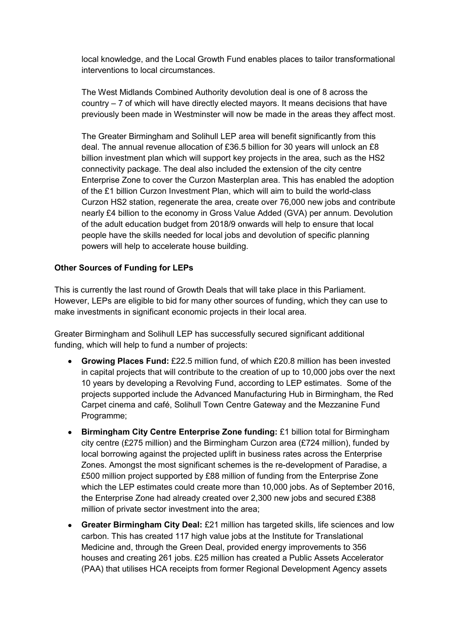local knowledge, and the Local Growth Fund enables places to tailor transformational interventions to local circumstances.

The West Midlands Combined Authority devolution deal is one of 8 across the country – 7 of which will have directly elected mayors. It means decisions that have previously been made in Westminster will now be made in the areas they affect most.

The Greater Birmingham and Solihull LEP area will benefit significantly from this deal. The annual revenue allocation of £36.5 billion for 30 years will unlock an £8 billion investment plan which will support key projects in the area, such as the HS2 connectivity package. The deal also included the extension of the city centre Enterprise Zone to cover the Curzon Masterplan area. This has enabled the adoption of the £1 billion Curzon Investment Plan, which will aim to build the world-class Curzon HS2 station, regenerate the area, create over 76,000 new jobs and contribute nearly £4 billion to the economy in Gross Value Added (GVA) per annum. Devolution of the adult education budget from 2018/9 onwards will help to ensure that local people have the skills needed for local jobs and devolution of specific planning powers will help to accelerate house building.

## **Other Sources of Funding for LEPs**

This is currently the last round of Growth Deals that will take place in this Parliament. However, LEPs are eligible to bid for many other sources of funding, which they can use to make investments in significant economic projects in their local area.

Greater Birmingham and Solihull LEP has successfully secured significant additional funding, which will help to fund a number of projects:

- **Growing Places Fund:** £22.5 million fund, of which £20.8 million has been invested in capital projects that will contribute to the creation of up to 10,000 jobs over the next 10 years by developing a Revolving Fund, according to LEP estimates. Some of the projects supported include the Advanced Manufacturing Hub in Birmingham, the Red Carpet cinema and café, Solihull Town Centre Gateway and the Mezzanine Fund Programme;
- **Birmingham City Centre Enterprise Zone funding:** £1 billion total for Birmingham city centre (£275 million) and the Birmingham Curzon area (£724 million), funded by local borrowing against the projected uplift in business rates across the Enterprise Zones. Amongst the most significant schemes is the re-development of Paradise, a £500 million project supported by £88 million of funding from the Enterprise Zone which the LEP estimates could create more than 10,000 jobs. As of September 2016, the Enterprise Zone had already created over 2,300 new jobs and secured £388 million of private sector investment into the area;
- **Greater Birmingham City Deal:** £21 million has targeted skills, life sciences and low carbon. This has created 117 high value jobs at the Institute for Translational Medicine and, through the Green Deal, provided energy improvements to 356 houses and creating 261 jobs. £25 million has created a Public Assets Accelerator (PAA) that utilises HCA receipts from former Regional Development Agency assets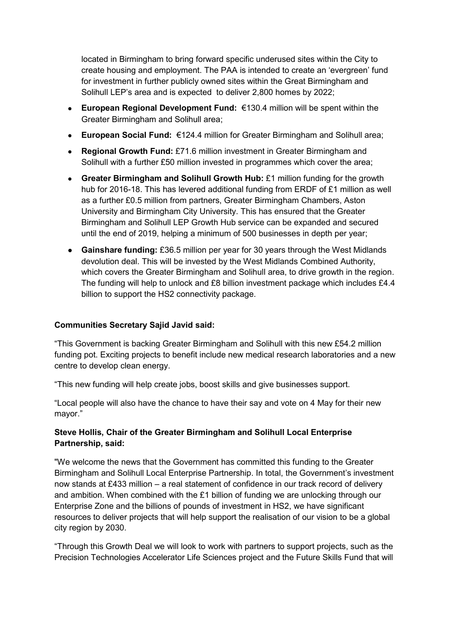located in Birmingham to bring forward specific underused sites within the City to create housing and employment. The PAA is intended to create an 'evergreen' fund for investment in further publicly owned sites within the Great Birmingham and Solihull LEP's area and is expected to deliver 2,800 homes by 2022;

- **European Regional Development Fund:** €130.4 million will be spent within the Greater Birmingham and Solihull area;
- **European Social Fund:** €124.4 million for Greater Birmingham and Solihull area;
- **Regional Growth Fund:** £71.6 million investment in Greater Birmingham and Solihull with a further £50 million invested in programmes which cover the area;
- **Greater Birmingham and Solihull Growth Hub:** £1 million funding for the growth hub for 2016-18. This has levered additional funding from ERDF of £1 million as well as a further £0.5 million from partners, Greater Birmingham Chambers, Aston University and Birmingham City University. This has ensured that the Greater Birmingham and Solihull LEP Growth Hub service can be expanded and secured until the end of 2019, helping a minimum of 500 businesses in depth per year;
- **Gainshare funding:** £36.5 million per year for 30 years through the West Midlands devolution deal. This will be invested by the West Midlands Combined Authority, which covers the Greater Birmingham and Solihull area, to drive growth in the region. The funding will help to unlock and £8 billion investment package which includes £4.4 billion to support the HS2 connectivity package.

#### **Communities Secretary Sajid Javid said:**

"This Government is backing Greater Birmingham and Solihull with this new £54.2 million funding pot. Exciting projects to benefit include new medical research laboratories and a new centre to develop clean energy.

"This new funding will help create jobs, boost skills and give businesses support.

"Local people will also have the chance to have their say and vote on 4 May for their new mayor."

#### **Steve Hollis, Chair of the Greater Birmingham and Solihull Local Enterprise Partnership, said:**

"We welcome the news that the Government has committed this funding to the Greater Birmingham and Solihull Local Enterprise Partnership. In total, the Government's investment now stands at £433 million – a real statement of confidence in our track record of delivery and ambition. When combined with the £1 billion of funding we are unlocking through our Enterprise Zone and the billions of pounds of investment in HS2, we have significant resources to deliver projects that will help support the realisation of our vision to be a global city region by 2030.

"Through this Growth Deal we will look to work with partners to support projects, such as the Precision Technologies Accelerator Life Sciences project and the Future Skills Fund that will